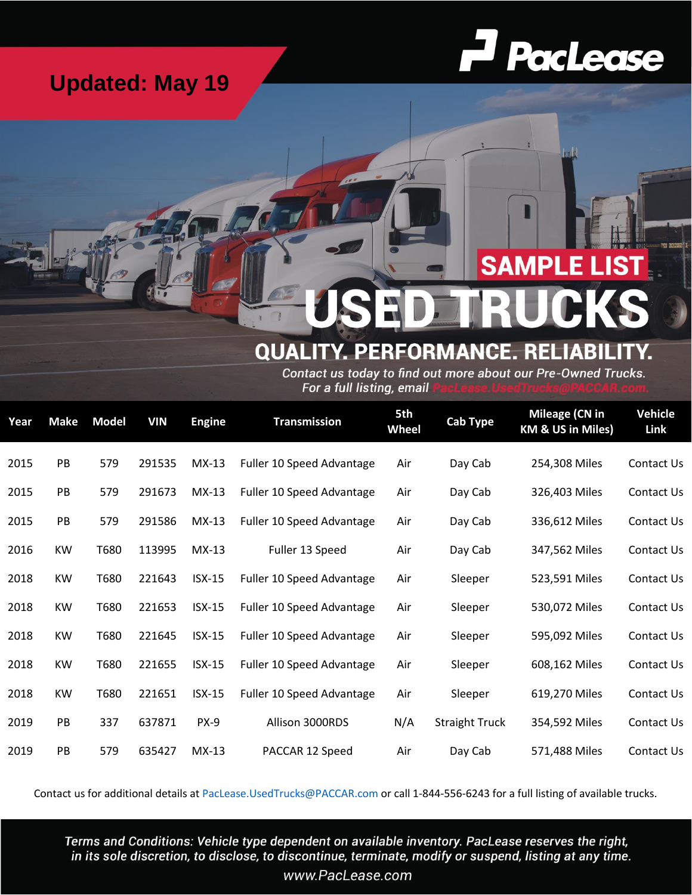## **Updated: May 19**



## **SAMPLE LIST**

## **QUALITY. PERFORMANCE. RELIABIL**

Contact us today to find out more about our Pre-Owned Trucks. For a full listing, email

| Year | <b>Make</b> | <b>Model</b> | <b>VIN</b> | <b>Engine</b> | <b>Transmission</b>       | 5th<br><b>Wheel</b> | <b>Cab Type</b>       | <b>Mileage (CN in</b><br>KM & US in Miles) | <b>Vehicle</b><br>Link |
|------|-------------|--------------|------------|---------------|---------------------------|---------------------|-----------------------|--------------------------------------------|------------------------|
| 2015 | PB          | 579          | 291535     | $MX-13$       | Fuller 10 Speed Advantage | Air                 | Day Cab               | 254,308 Miles                              | Contact Us             |
| 2015 | PB          | 579          | 291673     | $MX-13$       | Fuller 10 Speed Advantage | Air                 | Day Cab               | 326,403 Miles                              | Contact Us             |
| 2015 | PB          | 579          | 291586     | $MX-13$       | Fuller 10 Speed Advantage | Air                 | Day Cab               | 336,612 Miles                              | Contact Us             |
| 2016 | KW          | T680         | 113995     | $MX-13$       | Fuller 13 Speed           | Air                 | Day Cab               | 347,562 Miles                              | Contact Us             |
| 2018 | <b>KW</b>   | T680         | 221643     | $ISX-15$      | Fuller 10 Speed Advantage | Air                 | Sleeper               | 523,591 Miles                              | Contact Us             |
| 2018 | <b>KW</b>   | T680         | 221653     | $ISX-15$      | Fuller 10 Speed Advantage | Air                 | Sleeper               | 530,072 Miles                              | Contact Us             |
| 2018 | <b>KW</b>   | T680         | 221645     | $ISX-15$      | Fuller 10 Speed Advantage | Air                 | Sleeper               | 595,092 Miles                              | Contact Us             |
| 2018 | <b>KW</b>   | T680         | 221655     | $ISX-15$      | Fuller 10 Speed Advantage | Air                 | Sleeper               | 608,162 Miles                              | Contact Us             |
| 2018 | <b>KW</b>   | T680         | 221651     | $ISX-15$      | Fuller 10 Speed Advantage | Air                 | Sleeper               | 619,270 Miles                              | Contact Us             |
| 2019 | PB          | 337          | 637871     | $PX-9$        | Allison 3000RDS           | N/A                 | <b>Straight Truck</b> | 354,592 Miles                              | Contact Us             |
| 2019 | PB          | 579          | 635427     | $MX-13$       | PACCAR 12 Speed           | Air                 | Day Cab               | 571,488 Miles                              | Contact Us             |

Contact us for additional details at PacLease.UsedTrucks@PACCAR.com or call 1-844-556-6243 for a full listing of available trucks.

Terms and Conditions: Vehicle type dependent on available inventory. PacLease reserves the right, in its sole discretion, to disclose, to discontinue, terminate, modify or suspend, listing at any time.

www.PacLease.com